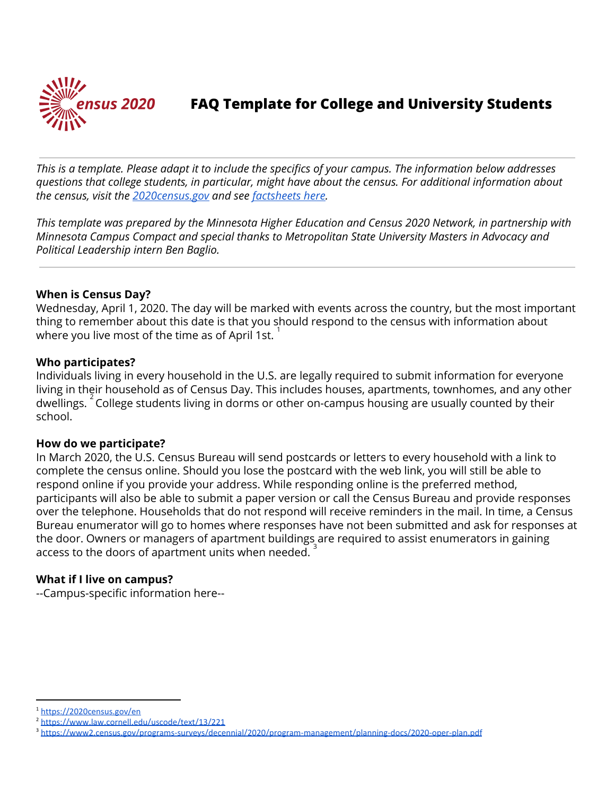

# **FAQ Template for College and University Students**

This is a template. Please adapt it to include the specifics of your campus. The information below addresses *questions that college students, in particular, might have about the census. For additional information about the census, visit the [2020census.gov](https://2020census.gov/en) and see [factsheets](https://www.census.gov/library/fact-sheets/2019/dec/census101.html) here.*

*This template was prepared by the Minnesota Higher Education and Census 2020 Network, in partnership with Minnesota Campus Compact and special thanks to Metropolitan State University Masters in Advocacy and Political Leadership intern Ben Baglio.*

### **When is Census Day?**

Wednesday, April 1, 2020. The day will be marked with events across the country, but the most important thing to remember about this date is that you should respond to the census with information about where you live most of the time as of April 1st. 1

#### **Who participates?**

Individuals living in every household in the U.S. are legally required to submit information for everyone living in their household as of Census Day. This includes houses, apartments, townhomes, and any other dwellings.  $\frac{2}{3}$  College students living in dorms or other on-campus housing are usually counted by their school.

#### **How do we participate?**

In March 2020, the U.S. Census Bureau will send postcards or letters to every household with a link to complete the census online. Should you lose the postcard with the web link, you will still be able to respond online if you provide your address. While responding online is the preferred method, participants will also be able to submit a paper version or call the Census Bureau and provide responses over the telephone. Households that do not respond will receive reminders in the mail. In time, a Census Bureau enumerator will go to homes where responses have not been submitted and ask for responses at the door. Owners or managers of apartment buildings are required to assist enumerators in gaining access to the doors of apartment units when needed.  $3$ 

#### **What if I live on campus?**

--Campus-specific information here--

<sup>1</sup> <https://2020census.gov/en>

<sup>2</sup> <https://www.law.cornell.edu/uscode/text/13/221>

<sup>3</sup> <https://www2.census.gov/programs-surveys/decennial/2020/program-management/planning-docs/2020-oper-plan.pdf>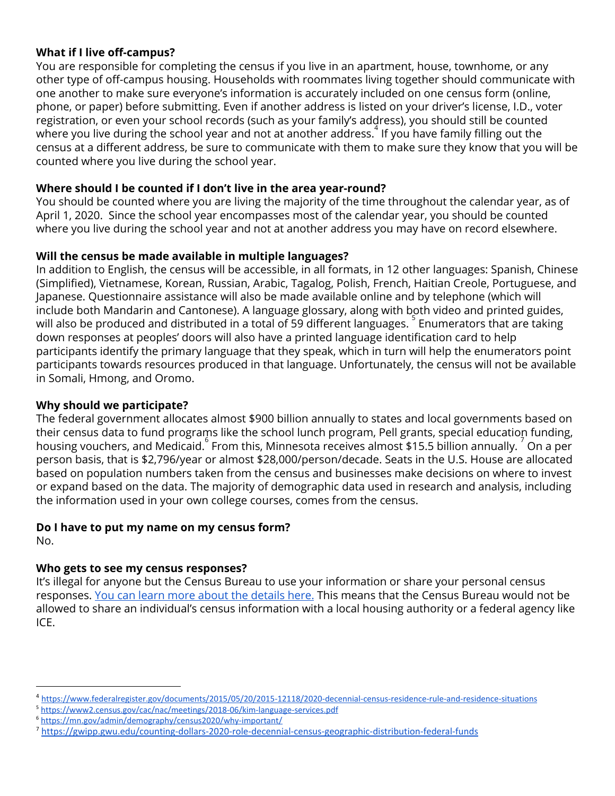## **What if I live off-campus?**

You are responsible for completing the census if you live in an apartment, house, townhome, or any other type of off-campus housing. Households with roommates living together should communicate with one another to make sure everyone's information is accurately included on one census form (online, phone, or paper) before submitting. Even if another address is listed on your driver's license, I.D., voter registration, or even your school records (such as your family's address), you should still be counted where you live during the school year and not at another address. If you have family filling out the census at a different address, be sure to communicate with them to make sure they know that you will be counted where you live during the school year.

## **Where should I be counted if I don't live in the area year-round?**

You should be counted where you are living the majority of the time throughout the calendar year, as of April 1, 2020. Since the school year encompasses most of the calendar year, you should be counted where you live during the school year and not at another address you may have on record elsewhere.

## **Will the census be made available in multiple languages?**

In addition to English, the census will be accessible, in all formats, in 12 other languages: Spanish, Chinese (Simplified), Vietnamese, Korean, Russian, Arabic, Tagalog, Polish, French, Haitian Creole, Portuguese, and Japanese. Questionnaire assistance will also be made available online and by telephone (which will include both Mandarin and Cantonese). A language glossary, along with both video and printed guides, will also be produced and distributed in a total of 59 different languages.  $5$  Enumerators that are taking down responses at peoples' doors will also have a printed language identification card to help participants identify the primary language that they speak, which in turn will help the enumerators point participants towards resources produced in that language. Unfortunately, the census will not be available in Somali, Hmong, and Oromo.

## **Why should we participate?**

The federal government allocates almost \$900 billion annually to states and local governments based on their census data to fund programs like the school lunch program, Pell grants, special education funding, housing vouchers, and Medicaid. From this, Minnesota receives almost \$15.5 billion annually.  $\frac{7}{5}$  On a per person basis, that is \$2,796/year or almost \$28,000/person/decade. Seats in the U.S. House are allocated based on population numbers taken from the census and businesses make decisions on where to invest or expand based on the data. The majority of demographic data used in research and analysis, including the information used in your own college courses, comes from the census.

## **Do I have to put my name on my census form?**

No.

## **Who gets to see my census responses?**

It's illegal for anyone but the Census Bureau to use your information or share your personal census responses. You can learn more about the [details](https://www.census.gov/library/fact-sheets/2019/dec/2020-confidentiality.html) here. This means that the Census Bureau would not be allowed to share an individual's census information with a local housing authority or a federal agency like ICE.

<sup>5</sup> <https://www2.census.gov/cac/nac/meetings/2018-06/kim-language-services.pdf>

<sup>4</sup> <https://www.federalregister.gov/documents/2015/05/20/2015-12118/2020-decennial-census-residence-rule-and-residence-situations>

<sup>6</sup> <https://mn.gov/admin/demography/census2020/why-important/>

<sup>7</sup> <https://gwipp.gwu.edu/counting-dollars-2020-role-decennial-census-geographic-distribution-federal-funds>